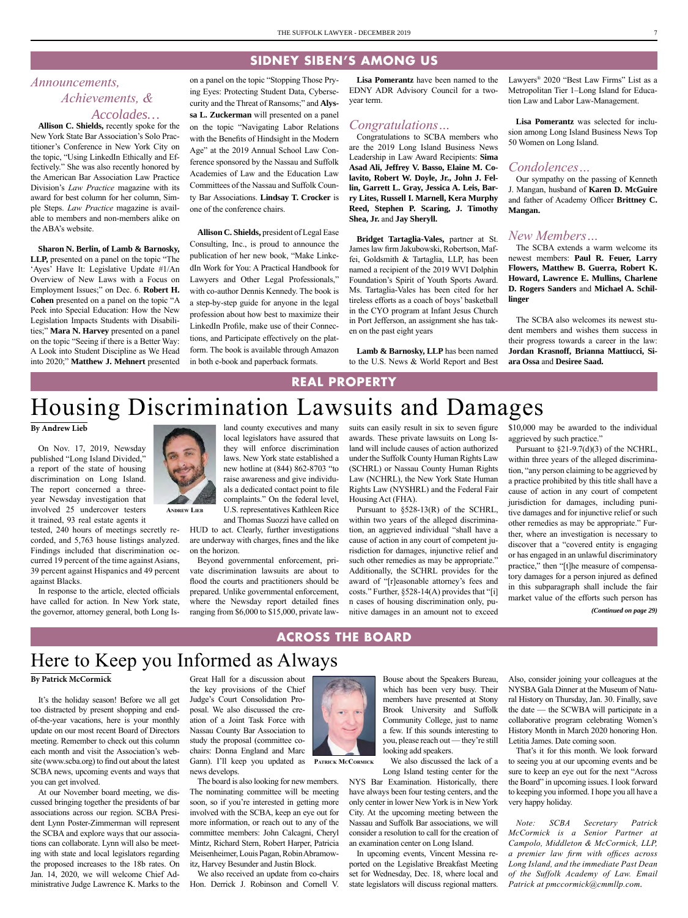### **SIDNEY SIBEN'S AMONG US**

# *Announcements, Achievements, & Accolades…*

**Allison C. Shields,** recently spoke for the New York State Bar Association's Solo Practitioner's Conference in New York City on the topic, "Using LinkedIn Ethically and Effectively." She was also recently honored by the American Bar Association Law Practice Division's *Law Practice* magazine with its award for best column for her column, Simple Steps. *Law Practice* magazine is available to members and non-members alike on the ABA's website.

**Sharon N. Berlin, of Lamb & Barnosky, LLP,** presented on a panel on the topic "The 'Ayes' Have It: Legislative Update #1/An Overview of New Laws with a Focus on Employment Issues;" on Dec. 6. **Robert H. Cohen** presented on a panel on the topic "A Peek into Special Education: How the New Legislation Impacts Students with Disabilities;" **Mara N. Harvey** presented on a panel on the topic "Seeing if there is a Better Way: A Look into Student Discipline as We Head into 2020;" **Matthew J. Mehnert** presented on a panel on the topic "Stopping Those Prying Eyes: Protecting Student Data, Cybersecurity and the Threat of Ransoms;" and **Alyssa L. Zuckerman** will presented on a panel on the topic "Navigating Labor Relations with the Benefits of Hindsight in the Modern Age" at the 2019 Annual School Law Conference sponsored by the Nassau and Suffolk Academies of Law and the Education Law Committees of the Nassau and Suffolk County Bar Associations. **Lindsay T. Crocker** is one of the conference chairs.

**Allison C. Shields,** president of Legal Ease Consulting, Inc., is proud to announce the publication of her new book, "Make LinkedIn Work for You: A Practical Handbook for Lawyers and Other Legal Professionals," with co-author Dennis Kennedy. The book is a step-by-step guide for anyone in the legal profession about how best to maximize their LinkedIn Profile, make use of their Connections, and Participate effectively on the platform. The book is available through Amazon in both e-book and paperback formats.

**Lisa Pomerantz** have been named to the EDNY ADR Advisory Council for a twoyear term.

### *Congratulations…*

Congratulations to SCBA members who are the 2019 Long Island Business News Leadership in Law Award Recipients: **Sima Asad Ali, Jeffrey V. Basso, Elaine M. Colavito, Robert W. Doyle, Jr., John J. Fellin, Garrett L. Gray, Jessica A. Leis, Barry Lites, Russell I. Marnell, Kera Murphy Reed, Stephen P. Scaring, J. Timothy Shea, Jr.** and **Jay Sheryll.** 

**Bridget Tartaglia-Vales,** partner at St. James law firm Jakubowski, Robertson, Maffei, Goldsmith & Tartaglia, LLP, has been named a recipient of the 2019 WVI Dolphin Foundation's Spirit of Youth Sports Award. Ms. Tartaglia-Vales has been cited for her tireless efforts as a coach of boys' basketball in the CYO program at Infant Jesus Church in Port Jefferson, an assignment she has taken on the past eight years

**Lamb & Barnosky, LLP** has been named to the U.S. News & World Report and Best Lawyers® 2020 "Best Law Firms" List as a Metropolitan Tier 1–Long Island for Education Law and Labor Law-Management.

**Lisa Pomerantz** was selected for inclusion among Long Island Business News Top 50 Women on Long Island.

### *Condolences…*

Our sympathy on the passing of Kenneth J. Mangan, husband of **Karen D. McGuire** and father of Academy Officer **Brittney C. Mangan.**

### *New Members…*

The SCBA extends a warm welcome its newest members: **Paul R. Feuer, Larry Flowers, Matthew B. Guerra, Robert K. Howard, Lawrence E. Mullins, Charlene D. Rogers Sanders** and **Michael A. Schillinger**

The SCBA also welcomes its newest student members and wishes them success in their progress towards a career in the law: **Jordan Krasnoff, Brianna Mattiucci, Siara Ossa** and **Desiree Saad.**

### **REAL PROPERTY**

# Housing Discrimination Lawsuits and Damages

land county executives and many local legislators have assured that they will enforce discrimination laws. New York state established a new hotline at (844) 862-8703 "to raise awareness and give individuals a dedicated contact point to file complaints." On the federal level, U.S. representatives Kathleen Rice

#### **By Andrew Lieb**

On Nov. 17, 2019, Newsday published "Long Island Divided," a report of the state of housing discrimination on Long Island. The report concerned a threeyear Newsday investigation that involved 25 undercover testers it trained, 93 real estate agents it

tested, 240 hours of meetings secretly recorded, and 5,763 house listings analyzed. Findings included that discrimination occurred 19 percent of the time against Asians, 39 percent against Hispanics and 49 percent against Blacks.

In response to the article, elected officials have called for action. In New York state, the governor, attorney general, both Long Is-



**Andrew Lieb**

and Thomas Suozzi have called on HUD to act. Clearly, further investigations are underway with charges, fines and the like on the horizon.

Beyond governmental enforcement, private discrimination lawsuits are about to flood the courts and practitioners should be prepared. Unlike governmental enforcement, where the Newsday report detailed fines ranging from \$6,000 to \$15,000, private lawsuits can easily result in six to seven figure awards. These private lawsuits on Long Island will include causes of action authorized under the Suffolk County Human Rights Law (SCHRL) or Nassau County Human Rights Law (NCHRL), the New York State Human Rights Law (NYSHRL) and the Federal Fair Housing Act (FHA).

Pursuant to §528-13(R) of the SCHRL, within two years of the alleged discrimination, an aggrieved individual "shall have a cause of action in any court of competent jurisdiction for damages, injunctive relief and such other remedies as may be appropriate." Additionally, the SCHRL provides for the award of "[r]easonable attorney's fees and costs." Further, §528-14(A) provides that "[i] n cases of housing discrimination only, punitive damages in an amount not to exceed

\$10,000 may be awarded to the individual aggrieved by such practice."

Pursuant to  $\S21-9.7(d)(3)$  of the NCHRL, within three years of the alleged discrimination, "any person claiming to be aggrieved by a practice prohibited by this title shall have a cause of action in any court of competent jurisdiction for damages, including punitive damages and for injunctive relief or such other remedies as may be appropriate." Further, where an investigation is necessary to discover that a "covered entity is engaging or has engaged in an unlawful discriminatory practice," then "[t]he measure of compensatory damages for a person injured as defined in this subparagraph shall include the fair market value of the efforts such person has

*(Continued on page 29)*

## **ACROSS THE BOARD**

# Here to Keep you Informed as Always

#### **By Patrick McCormick**

It's the holiday season! Before we all get too distracted by present shopping and endof-the-year vacations, here is your monthly update on our most recent Board of Directors meeting. Remember to check out this column each month and visit the Association's website (www.scba.org) to find out about the latest SCBA news, upcoming events and ways that you can get involved.

At our November board meeting, we discussed bringing together the presidents of bar associations across our region. SCBA President Lynn Poster-Zimmerman will represent the SCBA and explore ways that our associations can collaborate. Lynn will also be meeting with state and local legislators regarding the proposed increases to the 18b rates. On Jan. 14, 2020, we will welcome Chief Administrative Judge Lawrence K. Marks to the

Great Hall for a discussion about the key provisions of the Chief Judge's Court Consolidation Proposal. We also discussed the creation of a Joint Task Force with Nassau County Bar Association to study the proposal (committee cochairs: Donna England and Marc Gann). I'll keep you updated as **PATRICK MCCORMICK** news develops.

The board is also looking for new members. The nominating committee will be meeting soon, so if you're interested in getting more involved with the SCBA, keep an eye out for more information, or reach out to any of the committee members: John Calcagni, Cheryl Mintz, Richard Stern, Robert Harper, Patricia Meisenheimer, Louis Pagan, Robin Abramowitz, Harvey Besunder and Justin Block.

We also received an update from co-chairs Hon. Derrick J. Robinson and Cornell V.



Bouse about the Speakers Bureau, which has been very busy. Their members have presented at Stony Brook University and Suffolk Community College, just to name a few. If this sounds interesting to you, please reach out — they're still Letitia James. Date coming soon. looking add speakers.

We also discussed the lack of a Long Island testing center for the

NYS Bar Examination. Historically, there have always been four testing centers, and the only center in lower New York is in New York City. At the upcoming meeting between the Nassau and Suffolk Bar associations, we will consider a resolution to call for the creation of an examination center on Long Island.

In upcoming events, Vincent Messina reported on the Legislative Breakfast Meeting set for Wednesday, Dec. 18, where local and state legislators will discuss regional matters.

Also, consider joining your colleagues at the NYSBA Gala Dinner at the Museum of Natural History on Thursday, Jan. 30. Finally, save the date — the SCWBA will participate in a collaborative program celebrating Women's History Month in March 2020 honoring Hon.

That's it for this month. We look forward to seeing you at our upcoming events and be sure to keep an eye out for the next "Across the Board" in upcoming issues. I look forward to keeping you informed. I hope you all have a very happy holiday.

*Note: SCBA Secretary Patrick McCormick is a Senior Partner at Campolo, Middleton & McCormick, LLP, a premier law firm with offices across Long Island, and the immediate Past Dean of the Suffolk Academy of Law. Email Patrick at [pmccormick@cmmllp.com](mailto:pmccormick@cmmllp.com).*